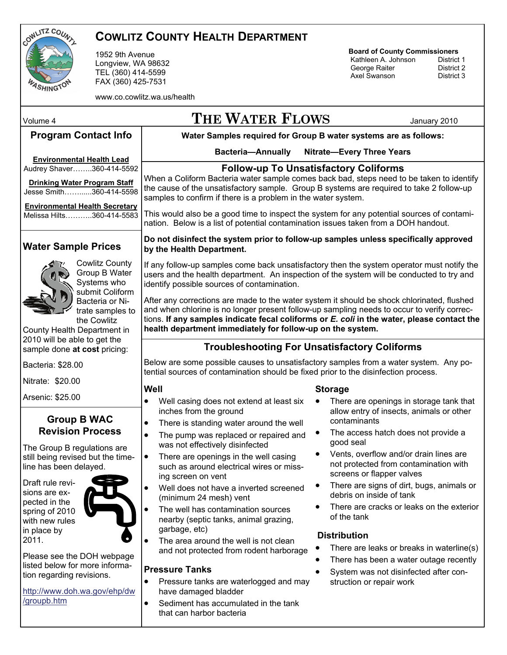

### **COWLITZ COUNTY HEALTH DEPARTMENT**

1952 9th Avenue Longview, WA 98632 TEL (360) 414-5599 FAX (360) 425-7531

www.co.cowlitz.wa.us/health

## **Board of County Commissioners**

**Kathleen A. Johnson** District 1<br> **George Raiter** District 2 George Raiter **District 2**<br>Axel Swanson **District 3** Axel Swanson

**Water Samples required for Group B water systems are as follows: Bacteria—Annually Nitrate—Every Three Years**  Volume 4 **THE WATER FLOWS** January 2010 **Program Contact Info Environmental Health Lead** Audrey Shaver……..360-414-5592 **Drinking Water Program Staff**  Jesse Smith……......360-414-5598 **Environmental Health Secretary** Melissa Hilts………..360-414-5583 Below are some possible causes to unsatisfactory samples from a water system. Any potential sources of contamination should be fixed prior to the disinfection process. **Storage**  • There are openings in storage tank that allow entry of insects, animals or other contaminants The access hatch does not provide a good seal • Vents, overflow and/or drain lines are not protected from contamination with screens or flapper valves There are signs of dirt, bugs, animals or debris on inside of tank There are cracks or leaks on the exterior of the tank **Distribution**  • There are leaks or breaks in waterline(s) There has been a water outage recently System was not disinfected after construction or repair work **Well**  • Well casing does not extend at least six inches from the ground • There is standing water around the well The pump was replaced or repaired and was not effectively disinfected • There are openings in the well casing such as around electrical wires or missing screen on vent Well does not have a inverted screened (minimum 24 mesh) vent The well has contamination sources nearby (septic tanks, animal grazing, garbage, etc) The area around the well is not clean and not protected from rodent harborage **Pressure Tanks**  • Pressure tanks are waterlogged and may have damaged bladder • Sediment has accumulated in the tank that can harbor bacteria **Water Sample Prices**  Cowlitz County Group B Water Systems who submit Coliform Bacteria or Nitrate samples to the Cowlitz County Health Department in 2010 will be able to get the sample done **at cost** pricing: Bacteria: \$28.00 Nitrate: \$20.00 Arsenic: \$25.00 **Follow-up To Unsatisfactory Coliforms**  When a Coliform Bacteria water sample comes back bad, steps need to be taken to identify the cause of the unsatisfactory sample. Group B systems are required to take 2 follow-up samples to confirm if there is a problem in the water system. This would also be a good time to inspect the system for any potential sources of contamination. Below is a list of potential contamination issues taken from a DOH handout. **Do not disinfect the system prior to follow-up samples unless specifically approved by the Health Department.**  If any follow-up samples come back unsatisfactory then the system operator must notify the users and the health department. An inspection of the system will be conducted to try and identify possible sources of contamination. After any corrections are made to the water system it should be shock chlorinated, flushed and when chlorine is no longer present follow-up sampling needs to occur to verify corrections. **If any samples indicate fecal coliforms or** *E. coli* **in the water, please contact the health department immediately for follow-up on the system. Group B WAC Revision Process**  The Group B regulations are still being revised but the timeline has been delayed. Draft rule revisions are expected in the spring of 2010 with new rules in place by 2011. Please see the DOH webpage listed below for more information regarding revisions. [http://www.doh.wa.gov/ehp/dw](http://www.doh.wa.gov/ehp/dw/groupb.htm) [/groupb.htm](http://www.doh.wa.gov/ehp/dw/groupb.htm) **Troubleshooting For Unsatisfactory Coliforms**